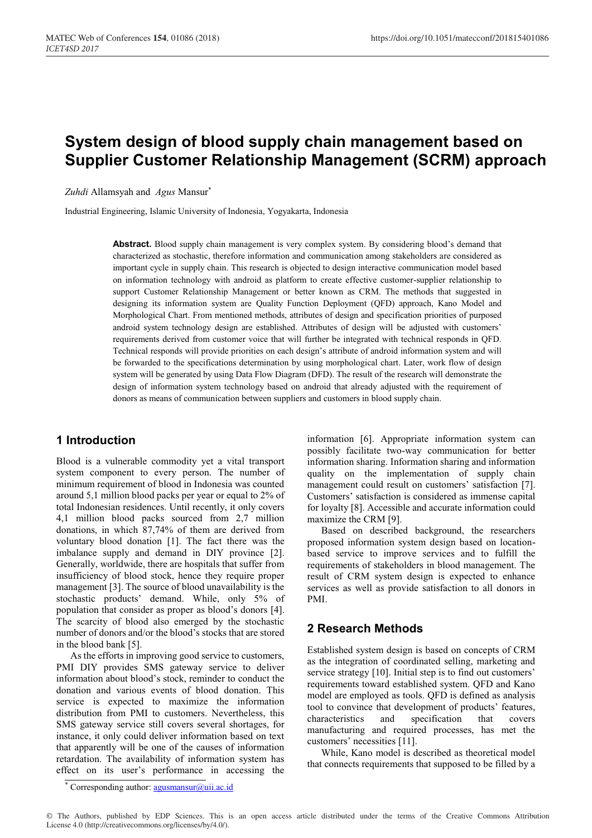# **System design of blood supply chain management based on Supplier Customer Relationship Management (SCRM) approach**

*Zuhdi* Allamsyah and *Agus* Mansur\*

Industrial Engineering, Islamic University of Indonesia, Yogyakarta, Indonesia

**Abstract.** Blood supply chain management is very complex system. By considering blood's demand that characterized as stochastic, therefore information and communication among stakeholders are considered as important cycle in supply chain. This research is objected to design interactive communication model based on information technology with android as platform to create effective customer-supplier relationship to support Customer Relationship Management or better known as CRM. The methods that suggested in designing its information system are Quality Function Deployment (QFD) approach, Kano Model and Morphological Chart. From mentioned methods, attributes of design and specification priorities of purposed android system technology design are established. Attributes of design will be adjusted with customers' requirements derived from customer voice that will further be integrated with technical responds in QFD. Technical responds will provide priorities on each design's attribute of android information system and will be forwarded to the specifications determination by using morphological chart. Later, work flow of design system will be generated by using Data Flow Diagram (DFD). The result of the research will demonstrate the design of information system technology based on android that already adjusted with the requirement of donors as means of communication between suppliers and customers in blood supply chain.

# **1 Introduction**

Blood is a vulnerable commodity yet a vital transport system component to every person. The number of minimum requirement of blood in Indonesia was counted around 5,1 million blood packs per year or equal to 2% of total Indonesian residences. Until recently, it only covers 4,1 million blood packs sourced from 2,7 million donations, in which 87,74% of them are derived from voluntary blood donation [1]. The fact there was the imbalance supply and demand in DIY province [2]. Generally, worldwide, there are hospitals that suffer from insufficiency of blood stock, hence they require proper management [3]. The source of blood unavailability is the stochastic products' demand. While, only 5% of population that consider as proper as blood's donors [4]. The scarcity of blood also emerged by the stochastic number of donors and/or the blood's stocks that are stored in the blood bank [5].

As the efforts in improving good service to customers, PMI DIY provides SMS gateway service to deliver information about blood's stock, reminder to conduct the donation and various events of blood donation. This service is expected to maximize the information distribution from PMI to customers. Nevertheless, this SMS gateway service still covers several shortages, for instance, it only could deliver information based on text that apparently will be one of the causes of information retardation. The availability of information system has effect on its user's performance in accessing the

information [6]. Appropriate information system can possibly facilitate two-way communication for better information sharing. Information sharing and information quality on the implementation of supply chain management could result on customers' satisfaction [7]. Customers' satisfaction is considered as immense capital for loyalty [8]. Accessible and accurate information could maximize the CRM [9].

Based on described background, the researchers proposed information system design based on locationbased service to improve services and to fulfill the requirements of stakeholders in blood management. The result of CRM system design is expected to enhance services as well as provide satisfaction to all donors in PMI.

# **2 Research Methods**

Established system design is based on concepts of CRM as the integration of coordinated selling, marketing and service strategy [10]. Initial step is to find out customers' requirements toward established system. QFD and Kano model are employed as tools. QFD is defined as analysis tool to convince that development of products' features, characteristics and specification that covers manufacturing and required processes, has met the customers' necessities [11].

While, Kano model is described as theoretical model that connects requirements that supposed to be filled by a

Corresponding author: agusmansur@uii.ac.id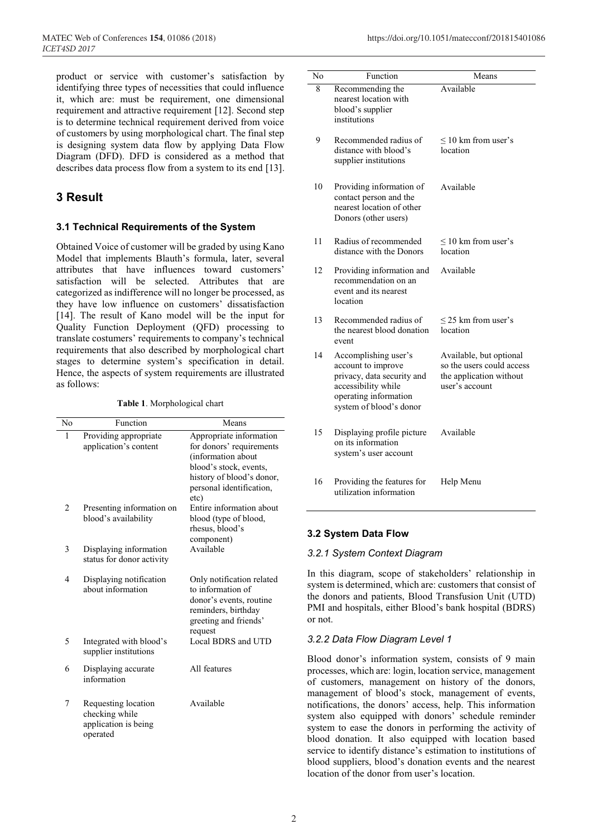product or service with customer's satisfaction by identifying three types of necessities that could influence it, which are: must be requirement, one dimensional requirement and attractive requirement [12]. Second step is to determine technical requirement derived from voice of customers by using morphological chart. The final step is designing system data flow by applying Data Flow Diagram (DFD). DFD is considered as a method that describes data process flow from a system to its end [13].

# **3 Result**

### **3.1 Technical Requirements of the System**

Obtained Voice of customer will be graded by using Kano Model that implements Blauth's formula, later, several attributes that have influences toward customers' satisfaction will be selected. Attributes that are categorized as indifference will no longer be processed, as they have low influence on customers' dissatisfaction [14]. The result of Kano model will be the input for Quality Function Deployment (QFD) processing to translate costumers' requirements to company's technical requirements that also described by morphological chart stages to determine system's specification in detail. Hence, the aspects of system requirements are illustrated as follows:

**Table 1**. Morphological chart

| No             | Function                                                                  | Means                                                                                                                                                                |
|----------------|---------------------------------------------------------------------------|----------------------------------------------------------------------------------------------------------------------------------------------------------------------|
| 1              | Providing appropriate<br>application's content                            | Appropriate information<br>for donors' requirements<br>(information about<br>blood's stock, events,<br>history of blood's donor,<br>personal identification,<br>etc) |
| 2              | Presenting information on<br>blood's availability                         | Entire information about<br>blood (type of blood,<br>rhesus, blood's<br>component)                                                                                   |
| 3              | Displaying information<br>status for donor activity                       | Available                                                                                                                                                            |
| $\overline{4}$ | Displaying notification<br>about information                              | Only notification related<br>to information of<br>donor's events, routine<br>reminders, birthday<br>greeting and friends'<br>request                                 |
| 5              | Integrated with blood's<br>supplier institutions                          | Local BDRS and UTD                                                                                                                                                   |
| 6              | Displaying accurate<br>information                                        | All features                                                                                                                                                         |
| 7              | Requesting location<br>checking while<br>application is being<br>operated | Available                                                                                                                                                            |

| No | Function                                                                                                                                            | Means                                                                                             |
|----|-----------------------------------------------------------------------------------------------------------------------------------------------------|---------------------------------------------------------------------------------------------------|
| 8  | Recommending the<br>nearest location with<br>blood's supplier<br>institutions                                                                       | Available                                                                                         |
| 9  | Recommended radius of<br>distance with blood's<br>supplier institutions                                                                             | $\leq 10$ km from user's<br>location                                                              |
| 10 | Providing information of<br>contact person and the<br>nearest location of other<br>Donors (other users)                                             | Available                                                                                         |
| 11 | Radius of recommended<br>distance with the Donors                                                                                                   | $\leq$ 10 km from user's<br>location                                                              |
| 12 | Providing information and<br>recommendation on an<br>event and its nearest<br>location                                                              | Available                                                                                         |
| 13 | Recommended radius of<br>the nearest blood donation<br>event                                                                                        | $\leq$ 25 km from user's<br>location                                                              |
| 14 | Accomplishing user's<br>account to improve<br>privacy, data security and<br>accessibility while<br>operating information<br>system of blood's donor | Available, but optional<br>so the users could access<br>the application without<br>user's account |
| 15 | Displaying profile picture<br>on its information<br>system's user account                                                                           | Available                                                                                         |
| 16 | Providing the features for<br>utilization information                                                                                               | Help Menu                                                                                         |

### **3.2 System Data Flow**

#### *3.2.1 System Context Diagram*

In this diagram, scope of stakeholders' relationship in system is determined, which are: customers that consist of the donors and patients, Blood Transfusion Unit (UTD) PMI and hospitals, either Blood's bank hospital (BDRS) or not.

### *3.2.2 Data Flow Diagram Level 1*

Blood donor's information system, consists of 9 main processes, which are: login, location service, management of customers, management on history of the donors, management of blood's stock, management of events, notifications, the donors' access, help. This information system also equipped with donors' schedule reminder system to ease the donors in performing the activity of blood donation. It also equipped with location based service to identify distance's estimation to institutions of blood suppliers, blood's donation events and the nearest location of the donor from user's location.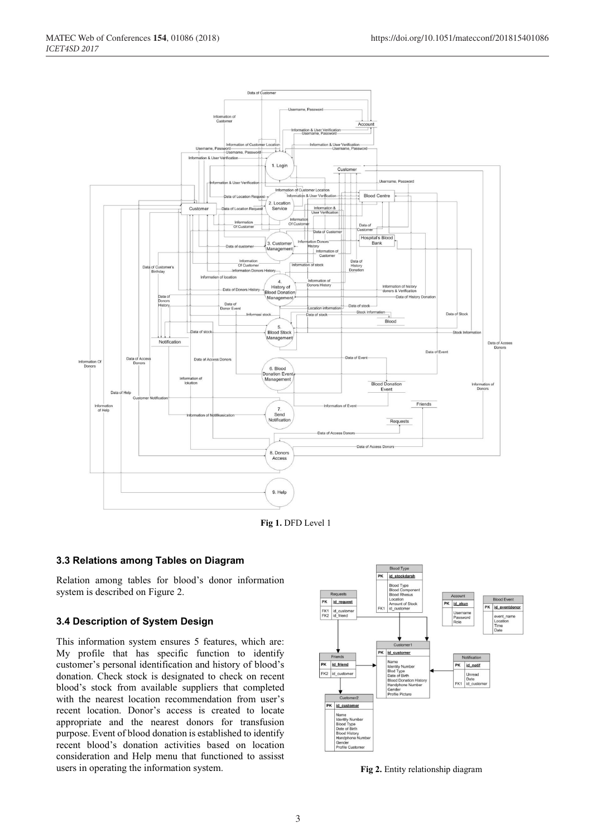

**Fig 1.** DFD Level 1

### **3.3 Relations among Tables on Diagram**

Relation among tables for blood's donor information system is described on Figure 2.

### **3.4 Description of System Design**

This information system ensures 5 features, which are: My profile that has specific function to identify customer's personal identification and history of blood's donation. Check stock is designated to check on recent blood's stock from available suppliers that completed with the nearest location recommendation from user's recent location. Donor's access is created to locate appropriate and the nearest donors for transfusion purpose. Event of blood donation is established to identify recent blood's donation activities based on location consideration and Help menu that functioned to assisst users in operating the information system. **Fig 2.** Entity relationship diagram